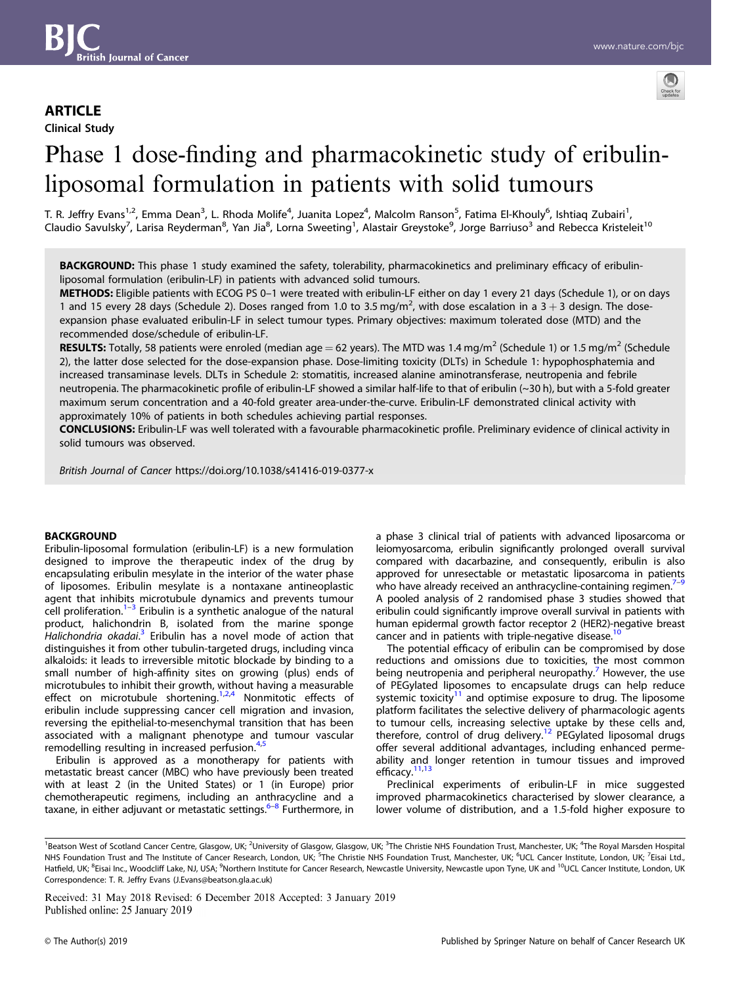# **ARTICLE**

Clinical Study



# Phase 1 dose-finding and pharmacokinetic study of eribulinliposomal formulation in patients with solid tumours

T. R. Jeffry Evans<sup>1,2</sup>, Emma Dean<sup>3</sup>, L. Rhoda Molife<sup>4</sup>, Juanita Lopez<sup>4</sup>, Malcolm Ranson<sup>5</sup>, Fatima El-Khouly<sup>6</sup>, Ishtiaq Zubairi<sup>1</sup>, Claudio Savulsky<sup>7</sup>, Larisa Reyderman<sup>8</sup>, Yan Jia<sup>8</sup>, Lorna Sweeting<sup>1</sup>, Alastair Greystoke<sup>9</sup>, Jorge Barriuso<sup>3</sup> and Rebecca Kristeleit<sup>10</sup>

BACKGROUND: This phase 1 study examined the safety, tolerability, pharmacokinetics and preliminary efficacy of eribulinliposomal formulation (eribulin-LF) in patients with advanced solid tumours.

METHODS: Eligible patients with ECOG PS 0–1 were treated with eribulin-LF either on day 1 every 21 days (Schedule 1), or on days 1 and 15 every 28 days (Schedule 2). Doses ranged from 1.0 to 3.5 mg/m<sup>2</sup>, with dose escalation in a  $3 + 3$  design. The doseexpansion phase evaluated eribulin-LF in select tumour types. Primary objectives: maximum tolerated dose (MTD) and the recommended dose/schedule of eribulin-LF.

**RESULTS:** Totally, 58 patients were enroled (median age = 62 years). The MTD was 1.4 mg/m<sup>2</sup> (Schedule 1) or 1.5 mg/m<sup>2</sup> (Schedule 2), the latter dose selected for the dose-expansion phase. Dose-limiting toxicity (DLTs) in Schedule 1: hypophosphatemia and increased transaminase levels. DLTs in Schedule 2: stomatitis, increased alanine aminotransferase, neutropenia and febrile neutropenia. The pharmacokinetic profile of eribulin-LF showed a similar half-life to that of eribulin (~30 h), but with a 5-fold greater maximum serum concentration and a 40-fold greater area-under-the-curve. Eribulin-LF demonstrated clinical activity with approximately 10% of patients in both schedules achieving partial responses.

CONCLUSIONS: Eribulin-LF was well tolerated with a favourable pharmacokinetic profile. Preliminary evidence of clinical activity in solid tumours was observed.

British Journal of Cancer https://doi.org/10.1038/s41416-019-0377-x

# **BACKGROUND**

Eribulin-liposomal formulation (eribulin-LF) is a new formulation designed to improve the therapeutic index of the drug by encapsulating eribulin mesylate in the interior of the water phase of liposomes. Eribulin mesylate is a nontaxane antineoplastic agent that inhibits microtubule dynamics and prevents tumour cell proliferation.<sup>[1](#page-6-0)–[3](#page-6-0)</sup> Eribulin is a synthetic analogue of the natural product, halichondrin B, isolated from the marine sponge .<br>Halichondria okadai.<sup>[3](#page-6-0)</sup> Eribulin has a novel mode of action that distinguishes it from other tubulin-targeted drugs, including vinca alkaloids: it leads to irreversible mitotic blockade by binding to a small number of high-affinity sites on growing (plus) ends of microtubules to inhibit their growth, without having a measurable effect on microtubule shortening.<sup>[1](#page-6-0),[2](#page-6-0)[,4](#page-7-0)</sup> Nonmitotic effects of eribulin include suppressing cancer cell migration and invasion, reversing the epithelial-to-mesenchymal transition that has been associated with a malignant phenotype and tumour vascular remodelling resulting in increased perfusion.<sup>4,</sup>

Eribulin is approved as a monotherapy for patients with metastatic breast cancer (MBC) who have previously been treated with at least 2 (in the United States) or 1 (in Europe) prior chemotherapeutic regimens, including an anthracycline and a taxane, in either adjuvant or metastatic settings. $6-8$  $6-8$  Furthermore, in a phase 3 clinical trial of patients with advanced liposarcoma or leiomyosarcoma, eribulin significantly prolonged overall survival compared with dacarbazine, and consequently, eribulin is also approved for unresectable or metastatic liposarcoma in patients who have already received an anthracycline-containing regimen.<sup>7–[9](#page-7-0)</sup> A pooled analysis of 2 randomised phase 3 studies showed that eribulin could significantly improve overall survival in patients with human epidermal growth factor receptor 2 (HER2)-negative breast cancer and in patients with triple-negative disease.<sup>10</sup>

The potential efficacy of eribulin can be compromised by dose reductions and omissions due to toxicities, the most common being neutropenia and peripheral neuropathy.<sup>[7](#page-7-0)</sup> However, the use of PEGylated liposomes to encapsulate drugs can help reduce systemic toxicity<sup>[11](#page-7-0)</sup> and optimise exposure to drug. The liposome platform facilitates the selective delivery of pharmacologic agents to tumour cells, increasing selective uptake by these cells and, therefore, control of drug delivery.[12](#page-7-0) PEGylated liposomal drugs offer several additional advantages, including enhanced permeability and longer retention in tumour tissues and improved efficacy.<sup>[11,13](#page-7-0)</sup>

Preclinical experiments of eribulin-LF in mice suggested improved pharmacokinetics characterised by slower clearance, a lower volume of distribution, and a 1.5-fold higher exposure to

Received: 31 May 2018 Revised: 6 December 2018 Accepted: 3 January 2019

<sup>&</sup>lt;sup>1</sup>Beatson West of Scotland Cancer Centre, Glasgow, UK;<sup>2</sup>University of Glasgow, Glasgow, UK;<sup>3</sup>The Christie NHS Foundation Trust, Manchester, UK;<sup>4</sup>The Royal Marsden Hospital NHS Foundation Trust and The Institute of Cancer Research, London, UK; <sup>5</sup>The Christie NHS Foundation Trust, Manchester, UK; <sup>6</sup>UCL Cancer Institute, London, UK; <sup>7</sup>Eisai Ltd., Hatfield, UK; <sup>8</sup>Eisai Inc., Woodcliff Lake, NJ, USA; <sup>9</sup>Northern Institute for Cancer Research, Newcastle University, Newcastle upon Tyne, UK and <sup>10</sup>UCL Cancer Institute, London, UK Correspondence: T. R. Jeffry Evans [\(J.Evans@beatson.gla.ac.uk\)](mailto:J.Evans@beatson.gla.ac.uk)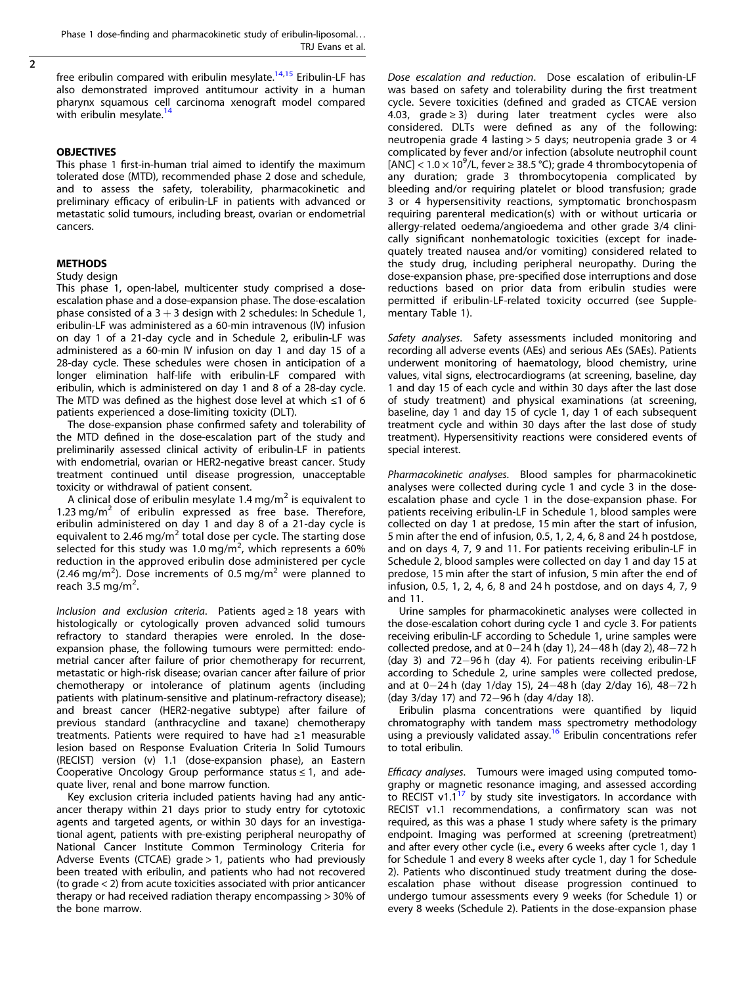$\overline{2}$ 

free eribulin compared with eribulin mesylate.<sup>[14](#page-7-0),[15](#page-7-0)</sup> Eribulin-LF has also demonstrated improved antitumour activity in a human pharynx squamous cell carcinoma xenograft model compared with eribulin mesylate.<sup>[14](#page-7-0)</sup>

# **OBJECTIVES**

This phase 1 first-in-human trial aimed to identify the maximum tolerated dose (MTD), recommended phase 2 dose and schedule, and to assess the safety, tolerability, pharmacokinetic and preliminary efficacy of eribulin-LF in patients with advanced or metastatic solid tumours, including breast, ovarian or endometrial cancers.

# METHODS

### Study design

This phase 1, open-label, multicenter study comprised a doseescalation phase and a dose-expansion phase. The dose-escalation phase consisted of a  $3 + 3$  design with 2 schedules: In Schedule 1, eribulin-LF was administered as a 60-min intravenous (IV) infusion on day 1 of a 21-day cycle and in Schedule 2, eribulin-LF was administered as a 60-min IV infusion on day 1 and day 15 of a 28-day cycle. These schedules were chosen in anticipation of a longer elimination half-life with eribulin-LF compared with eribulin, which is administered on day 1 and 8 of a 28-day cycle. The MTD was defined as the highest dose level at which ≤1 of 6 patients experienced a dose-limiting toxicity (DLT).

The dose-expansion phase confirmed safety and tolerability of the MTD defined in the dose-escalation part of the study and preliminarily assessed clinical activity of eribulin-LF in patients with endometrial, ovarian or HER2-negative breast cancer. Study treatment continued until disease progression, unacceptable toxicity or withdrawal of patient consent.

A clinical dose of eribulin mesylate  $1.4 \,\mathrm{mg/m^2}$  is equivalent to 1.23 mg/ $m^2$  of eribulin expressed as free base. Therefore, eribulin administered on day 1 and day 8 of a 21-day cycle is equivalent to 2.46 mg/ $m^2$  total dose per cycle. The starting dose selected for this study was 1.0 mg/m<sup>2</sup>, which represents a 60% reduction in the approved eribulin dose administered per cycle  $(2.46 \text{ mg/m}^2)$ . Dose increments of 0.5 mg/m<sup>2</sup> were planned to reach  $3.5$  mg/m<sup>2</sup>. .

Inclusion and exclusion criteria. Patients aged ≥ 18 years with histologically or cytologically proven advanced solid tumours refractory to standard therapies were enroled. In the doseexpansion phase, the following tumours were permitted: endometrial cancer after failure of prior chemotherapy for recurrent, metastatic or high-risk disease; ovarian cancer after failure of prior chemotherapy or intolerance of platinum agents (including patients with platinum-sensitive and platinum-refractory disease); and breast cancer (HER2-negative subtype) after failure of previous standard (anthracycline and taxane) chemotherapy treatments. Patients were required to have had ≥1 measurable lesion based on Response Evaluation Criteria In Solid Tumours (RECIST) version (v) 1.1 (dose-expansion phase), an Eastern Cooperative Oncology Group performance status ≤ 1, and adequate liver, renal and bone marrow function.

Key exclusion criteria included patients having had any anticancer therapy within 21 days prior to study entry for cytotoxic agents and targeted agents, or within 30 days for an investigational agent, patients with pre-existing peripheral neuropathy of National Cancer Institute Common Terminology Criteria for Adverse Events (CTCAE) grade > 1, patients who had previously been treated with eribulin, and patients who had not recovered (to grade < 2) from acute toxicities associated with prior anticancer therapy or had received radiation therapy encompassing > 30% of the bone marrow.

Dose escalation and reduction. Dose escalation of eribulin-LF was based on safety and tolerability during the first treatment cycle. Severe toxicities (defined and graded as CTCAE version 4.03, grade ≥ 3) during later treatment cycles were also considered. DLTs were defined as any of the following: neutropenia grade 4 lasting > 5 days; neutropenia grade 3 or 4 complicated by fever and/or infection (absolute neutrophil count [ANC] <  $1.0 \times 10^9$ /L, fever  $\geq 38.5$  °C); grade 4 thrombocytopenia of any duration; grade 3 thrombocytopenia complicated by bleeding and/or requiring platelet or blood transfusion; grade 3 or 4 hypersensitivity reactions, symptomatic bronchospasm requiring parenteral medication(s) with or without urticaria or allergy-related oedema/angioedema and other grade 3/4 clinically significant nonhematologic toxicities (except for inadequately treated nausea and/or vomiting) considered related to the study drug, including peripheral neuropathy. During the dose-expansion phase, pre-specified dose interruptions and dose reductions based on prior data from eribulin studies were permitted if eribulin-LF-related toxicity occurred (see Supplementary Table 1).

Safety analyses. Safety assessments included monitoring and recording all adverse events (AEs) and serious AEs (SAEs). Patients underwent monitoring of haematology, blood chemistry, urine values, vital signs, electrocardiograms (at screening, baseline, day 1 and day 15 of each cycle and within 30 days after the last dose of study treatment) and physical examinations (at screening, baseline, day 1 and day 15 of cycle 1, day 1 of each subsequent treatment cycle and within 30 days after the last dose of study treatment). Hypersensitivity reactions were considered events of special interest.

Pharmacokinetic analyses. Blood samples for pharmacokinetic analyses were collected during cycle 1 and cycle 3 in the doseescalation phase and cycle 1 in the dose-expansion phase. For patients receiving eribulin-LF in Schedule 1, blood samples were collected on day 1 at predose, 15 min after the start of infusion, 5 min after the end of infusion, 0.5, 1, 2, 4, 6, 8 and 24 h postdose, and on days 4, 7, 9 and 11. For patients receiving eribulin-LF in Schedule 2, blood samples were collected on day 1 and day 15 at predose, 15 min after the start of infusion, 5 min after the end of infusion, 0.5, 1, 2, 4, 6, 8 and 24 h postdose, and on days 4, 7, 9 and 11.

Urine samples for pharmacokinetic analyses were collected in the dose-escalation cohort during cycle 1 and cycle 3. For patients receiving eribulin-LF according to Schedule 1, urine samples were collected predose, and at 0−24 h (day 1), 24−48 h (day 2), 48−72 h (day 3) and 72−96 h (day 4). For patients receiving eribulin-LF according to Schedule 2, urine samples were collected predose, and at 0−24 h (day 1/day 15), 24−48 h (day 2/day 16), 48−72 h (day 3/day 17) and 72−96 h (day 4/day 18).

Eribulin plasma concentrations were quantified by liquid chromatography with tandem mass spectrometry methodology using a previously validated assay.<sup>16</sup> Eribulin concentrations refer to total eribulin.

Efficacy analyses. Tumours were imaged using computed tomography or magnetic resonance imaging, and assessed according to RECIST v1.1<sup>17</sup> by study site investigators. In accordance with RECIST v1.1 recommendations, a confirmatory scan was not required, as this was a phase 1 study where safety is the primary endpoint. Imaging was performed at screening (pretreatment) and after every other cycle (i.e., every 6 weeks after cycle 1, day 1 for Schedule 1 and every 8 weeks after cycle 1, day 1 for Schedule 2). Patients who discontinued study treatment during the doseescalation phase without disease progression continued to undergo tumour assessments every 9 weeks (for Schedule 1) or every 8 weeks (Schedule 2). Patients in the dose-expansion phase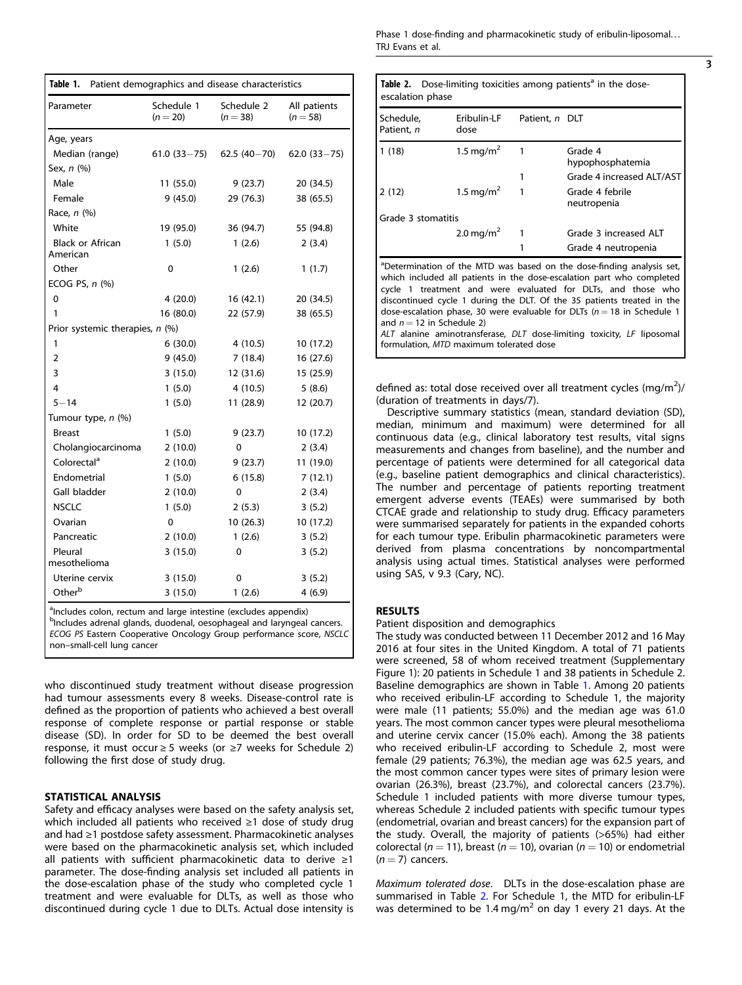| Table 1.<br>Patient demographics and disease characteristics |                          |                          |                            |  |  |  |
|--------------------------------------------------------------|--------------------------|--------------------------|----------------------------|--|--|--|
| Parameter                                                    | Schedule 1<br>$(n = 20)$ | Schedule 2<br>$(n = 38)$ | All patients<br>$(n = 58)$ |  |  |  |
| Age, years                                                   |                          |                          |                            |  |  |  |
| Median (range)                                               | $61.0(33 - 75)$          | $62.5(40-70)$            | $62.0(33 - 75)$            |  |  |  |
| Sex, n (%)                                                   |                          |                          |                            |  |  |  |
| Male                                                         | 11 (55.0)                | 9(23.7)                  | 20 (34.5)                  |  |  |  |
| Female                                                       | 9(45.0)                  | 29 (76.3)                | 38 (65.5)                  |  |  |  |
| Race, n (%)                                                  |                          |                          |                            |  |  |  |
| White                                                        | 19 (95.0)                | 36 (94.7)                | 55 (94.8)                  |  |  |  |
| <b>Black or African</b><br>American                          | 1(5.0)                   | 1(2.6)                   | 2(3.4)                     |  |  |  |
| Other                                                        | 0                        | 1(2.6)                   | 1(1.7)                     |  |  |  |
| ECOG PS, $n$ $(\%)$                                          |                          |                          |                            |  |  |  |
| 0                                                            | 4(20.0)                  | 16 (42.1)                | 20 (34.5)                  |  |  |  |
| 1                                                            | 16 (80.0)                | 22 (57.9)                | 38 (65.5)                  |  |  |  |
| Prior systemic therapies, n (%)                              |                          |                          |                            |  |  |  |
| 1                                                            | 6(30.0)                  | 4 (10.5)                 | 10 (17.2)                  |  |  |  |
| 2                                                            | 9(45.0)                  | 7(18.4)                  | 16 (27.6)                  |  |  |  |
| 3                                                            | 3(15.0)                  | 12 (31.6)                | 15 (25.9)                  |  |  |  |
| $\overline{\mathbf{4}}$                                      | 1(5.0)                   | 4 (10.5)                 | 5(8.6)                     |  |  |  |
| $5 - 14$                                                     | 1(5.0)                   | 11 (28.9)                | 12 (20.7)                  |  |  |  |
| Tumour type, n (%)                                           |                          |                          |                            |  |  |  |
| <b>Breast</b>                                                | 1(5.0)                   | 9(23.7)                  | 10 (17.2)                  |  |  |  |
| Cholangiocarcinoma                                           | 2(10.0)                  | 0                        | 2(3.4)                     |  |  |  |
| Colorectal <sup>a</sup>                                      | 2(10.0)                  | 9(23.7)                  | 11 (19.0)                  |  |  |  |
| Endometrial                                                  | 1(5.0)                   | 6(15.8)                  | 7(12.1)                    |  |  |  |
| Gall bladder                                                 | 2(10.0)                  | 0                        | 2(3.4)                     |  |  |  |
| <b>NSCLC</b>                                                 | 1(5.0)                   | 2(5.3)                   | 3(5.2)                     |  |  |  |
| Ovarian                                                      | 0                        | 10(26.3)                 | 10 (17.2)                  |  |  |  |
| Pancreatic                                                   | 2(10.0)                  | 1(2.6)                   | 3(5.2)                     |  |  |  |
| Pleural<br>mesothelioma                                      | 3(15.0)                  | 0                        | 3(5.2)                     |  |  |  |
| Uterine cervix                                               | 3(15.0)                  | 0                        | 3(5.2)                     |  |  |  |
| Other <sup>b</sup>                                           | 3(15.0)                  | 1(2.6)                   | 4(6.9)                     |  |  |  |

alncludes colon, rectum and large intestine (excludes appendix)

<sup>b</sup>Includes adrenal glands, duodenal, oesophageal and laryngeal cancers. ECOG PS Eastern Cooperative Oncology Group performance score, NSCLC non–small-cell lung cancer

who discontinued study treatment without disease progression had tumour assessments every 8 weeks. Disease-control rate is defined as the proportion of patients who achieved a best overall response of complete response or partial response or stable disease (SD). In order for SD to be deemed the best overall response, it must occur ≥ 5 weeks (or ≥7 weeks for Schedule 2) following the first dose of study drug.

### STATISTICAL ANALYSIS

Safety and efficacy analyses were based on the safety analysis set, which included all patients who received ≥1 dose of study drug and had ≥1 postdose safety assessment. Pharmacokinetic analyses were based on the pharmacokinetic analysis set, which included all patients with sufficient pharmacokinetic data to derive  $\geq 1$ parameter. The dose-finding analysis set included all patients in the dose-escalation phase of the study who completed cycle 1 treatment and were evaluable for DLTs, as well as those who discontinued during cycle 1 due to DLTs. Actual dose intensity is Phase 1 dose-finding and pharmacokinetic study of eribulin-liposomal... TRJ Evans et al.

| escalation phase        |                       |                | <b>Table 2.</b> Dose-limiting toxicities among patients <sup>a</sup> in the dose-                                                                                                                                          |
|-------------------------|-----------------------|----------------|----------------------------------------------------------------------------------------------------------------------------------------------------------------------------------------------------------------------------|
| Schedule,<br>Patient, n | Eribulin-LF<br>dose   | Patient, n DLT |                                                                                                                                                                                                                            |
| 1(18)                   | 1.5 mg/m <sup>2</sup> | 1              | Grade 4<br>hypophosphatemia                                                                                                                                                                                                |
|                         |                       |                | Grade 4 increased ALT/AST                                                                                                                                                                                                  |
| 2(12)                   | 1.5 mg/m <sup>2</sup> |                | Grade 4 febrile<br>neutropenia                                                                                                                                                                                             |
| Grade 3 stomatitis      |                       |                |                                                                                                                                                                                                                            |
|                         | 2.0 mg/m <sup>2</sup> |                | Grade 3 increased ALT                                                                                                                                                                                                      |
|                         |                       |                | Grade 4 neutropenia                                                                                                                                                                                                        |
|                         |                       |                | <sup>a</sup> Determination of the MTD was based on the dose-finding analysis set,<br>which included all patients in the dose-escalation part who completed<br>cycle 1 treatment and were evaluated for DLTs, and those who |

cycle 1 treatment and were evaluated for DLTs, and those who discontinued cycle 1 during the DLT. Of the 35 patients treated in the dose-escalation phase, 30 were evaluable for DLTs ( $n = 18$  in Schedule 1 and  $n = 12$  in Schedule 2) ALT alanine aminotransferase, DLT dose-limiting toxicity, LF liposomal

formulation, MTD maximum tolerated dose

defined as: total dose received over all treatment cycles  $(mg/m<sup>2</sup>)$ / (duration of treatments in days/7).

Descriptive summary statistics (mean, standard deviation (SD), median, minimum and maximum) were determined for all continuous data (e.g., clinical laboratory test results, vital signs measurements and changes from baseline), and the number and percentage of patients were determined for all categorical data (e.g., baseline patient demographics and clinical characteristics). The number and percentage of patients reporting treatment emergent adverse events (TEAEs) were summarised by both CTCAE grade and relationship to study drug. Efficacy parameters were summarised separately for patients in the expanded cohorts for each tumour type. Eribulin pharmacokinetic parameters were derived from plasma concentrations by noncompartmental analysis using actual times. Statistical analyses were performed using SAS, v 9.3 (Cary, NC).

# RESULTS

Patient disposition and demographics

The study was conducted between 11 December 2012 and 16 May 2016 at four sites in the United Kingdom. A total of 71 patients were screened, 58 of whom received treatment (Supplementary Figure 1): 20 patients in Schedule 1 and 38 patients in Schedule 2. Baseline demographics are shown in Table 1. Among 20 patients who received eribulin-LF according to Schedule 1, the majority were male (11 patients; 55.0%) and the median age was 61.0 years. The most common cancer types were pleural mesothelioma and uterine cervix cancer (15.0% each). Among the 38 patients who received eribulin-LF according to Schedule 2, most were female (29 patients; 76.3%), the median age was 62.5 years, and the most common cancer types were sites of primary lesion were ovarian (26.3%), breast (23.7%), and colorectal cancers (23.7%). Schedule 1 included patients with more diverse tumour types, whereas Schedule 2 included patients with specific tumour types (endometrial, ovarian and breast cancers) for the expansion part of the study. Overall, the majority of patients (>65%) had either colorectal ( $n = 11$ ), breast ( $n = 10$ ), ovarian ( $n = 10$ ) or endometrial  $(n = 7)$  cancers.

Maximum tolerated dose. DLTs in the dose-escalation phase are summarised in Table 2. For Schedule 1, the MTD for eribulin-LF was determined to be 1.4 mg/m<sup>2</sup> on day 1 every 21 days. At the

3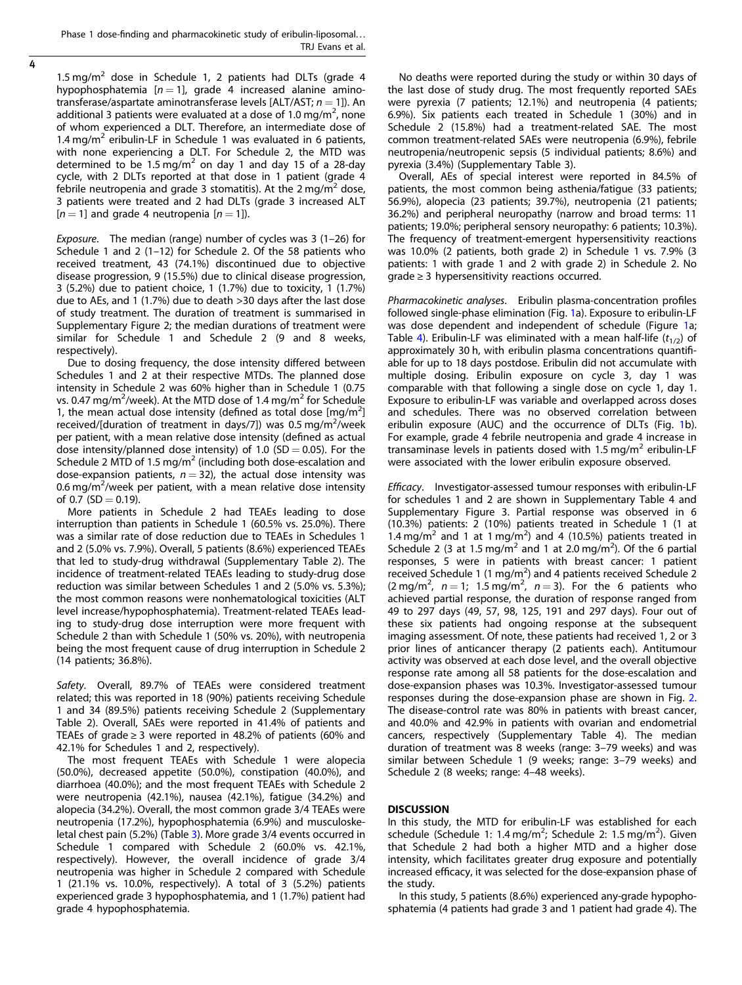Phase 1 dose-finding and pharmacokinetic study of eribulin-liposomal... TRJ Evans et al.

4

1.5 mg/m<sup>2</sup> dose in Schedule 1, 2 patients had DLTs (grade 4 hypophosphatemia  $[n = 1]$ , grade 4 increased alanine aminotransferase/aspartate aminotransferase levels [ALT/AST;  $n = 1$ ]). An additional 3 patients were evaluated at a dose of 1.0 mg/m<sup>2</sup>, none of whom experienced a DLT. Therefore, an intermediate dose of 1.4 mg/m<sup>2</sup> eribulin-LF in Schedule 1 was evaluated in 6 patients, with none experiencing a DLT. For Schedule 2, the MTD was determined to be 1.5 mg/m<sup>2</sup> on day 1 and day 15 of a 28-day cycle, with 2 DLTs reported at that dose in 1 patient (grade 4 febrile neutropenia and grade 3 stomatitis). At the 2 mg/m<sup>2</sup> dose, 3 patients were treated and 2 had DLTs (grade 3 increased ALT  $[n = 1]$  and grade 4 neutropenia  $[n = 1]$ ).

Exposure. The median (range) number of cycles was 3 (1–26) for Schedule 1 and 2 (1–12) for Schedule 2. Of the 58 patients who received treatment, 43 (74.1%) discontinued due to objective disease progression, 9 (15.5%) due to clinical disease progression, 3 (5.2%) due to patient choice, 1 (1.7%) due to toxicity, 1 (1.7%) due to AEs, and 1 (1.7%) due to death >30 days after the last dose of study treatment. The duration of treatment is summarised in Supplementary Figure 2; the median durations of treatment were similar for Schedule 1 and Schedule 2 (9 and 8 weeks, respectively).

Due to dosing frequency, the dose intensity differed between Schedules 1 and 2 at their respective MTDs. The planned dose intensity in Schedule 2 was 60% higher than in Schedule 1 (0.75 vs. 0.47 mg/m<sup>2</sup>/week). At the MTD dose of 1.4 mg/m<sup>2</sup> for Schedule 1, the mean actual dose intensity (defined as total dose  $[mg/m^2]$ received/[duration of treatment in days/7]) was 0.5 mg/m<sup>2</sup>/week per patient, with a mean relative dose intensity (defined as actual dose intensity/planned dose intensity) of 1.0 (SD = 0.05). For the Schedule 2 MTD of 1.5 mg/m<sup>2</sup> (including both dose-escalation and dose-expansion patients,  $n = 32$ ), the actual dose intensity was 0.6 mg/m<sup>2</sup>/week per patient, with a mean relative dose intensity of 0.7 ( $SD = 0.19$ ).

More patients in Schedule 2 had TEAEs leading to dose interruption than patients in Schedule 1 (60.5% vs. 25.0%). There was a similar rate of dose reduction due to TEAEs in Schedules 1 and 2 (5.0% vs. 7.9%). Overall, 5 patients (8.6%) experienced TEAEs that led to study-drug withdrawal (Supplementary Table 2). The incidence of treatment-related TEAEs leading to study-drug dose reduction was similar between Schedules 1 and 2 (5.0% vs. 5.3%); the most common reasons were nonhematological toxicities (ALT level increase/hypophosphatemia). Treatment-related TEAEs leading to study-drug dose interruption were more frequent with Schedule 2 than with Schedule 1 (50% vs. 20%), with neutropenia being the most frequent cause of drug interruption in Schedule 2 (14 patients; 36.8%).

Safety. Overall, 89.7% of TEAEs were considered treatment related; this was reported in 18 (90%) patients receiving Schedule 1 and 34 (89.5%) patients receiving Schedule 2 (Supplementary Table 2). Overall, SAEs were reported in 41.4% of patients and TEAEs of grade  $\geq$  3 were reported in 48.2% of patients (60% and 42.1% for Schedules 1 and 2, respectively).

The most frequent TEAEs with Schedule 1 were alopecia (50.0%), decreased appetite (50.0%), constipation (40.0%), and diarrhoea (40.0%); and the most frequent TEAEs with Schedule 2 were neutropenia (42.1%), nausea (42.1%), fatigue (34.2%) and alopecia (34.2%). Overall, the most common grade 3/4 TEAEs were neutropenia (17.2%), hypophosphatemia (6.9%) and musculoske-letal chest pain (5.2%) (Table [3](#page-4-0)). More grade 3/4 events occurred in Schedule 1 compared with Schedule 2 (60.0% vs. 42.1%, respectively). However, the overall incidence of grade 3/4 neutropenia was higher in Schedule 2 compared with Schedule 1 (21.1% vs. 10.0%, respectively). A total of 3 (5.2%) patients experienced grade 3 hypophosphatemia, and 1 (1.7%) patient had grade 4 hypophosphatemia.

No deaths were reported during the study or within 30 days of the last dose of study drug. The most frequently reported SAEs were pyrexia (7 patients; 12.1%) and neutropenia (4 patients; 6.9%). Six patients each treated in Schedule 1 (30%) and in Schedule 2 (15.8%) had a treatment-related SAE. The most common treatment-related SAEs were neutropenia (6.9%), febrile neutropenia/neutropenic sepsis (5 individual patients; 8.6%) and pyrexia (3.4%) (Supplementary Table 3).

Overall, AEs of special interest were reported in 84.5% of patients, the most common being asthenia/fatigue (33 patients; 56.9%), alopecia (23 patients; 39.7%), neutropenia (21 patients; 36.2%) and peripheral neuropathy (narrow and broad terms: 11 patients; 19.0%; peripheral sensory neuropathy: 6 patients; 10.3%). The frequency of treatment-emergent hypersensitivity reactions was 10.0% (2 patients, both grade 2) in Schedule 1 vs. 7.9% (3 patients: 1 with grade 1 and 2 with grade 2) in Schedule 2. No  $grade \geq 3$  hypersensitivity reactions occurred.

Pharmacokinetic analyses. Eribulin plasma-concentration profiles followed single-phase elimination (Fig. [1](#page-5-0)a). Exposure to eribulin-LF was dose dependent and independent of schedule (Figure [1](#page-5-0)a; Table [4](#page-5-0)). Eribulin-LF was eliminated with a mean half-life  $(t_{1/2})$  of approximately 30 h, with eribulin plasma concentrations quantifiable for up to 18 days postdose. Eribulin did not accumulate with multiple dosing. Eribulin exposure on cycle 3, day 1 was comparable with that following a single dose on cycle 1, day 1. Exposure to eribulin-LF was variable and overlapped across doses and schedules. There was no observed correlation between eribulin exposure (AUC) and the occurrence of DLTs (Fig. [1](#page-5-0)b). For example, grade 4 febrile neutropenia and grade 4 increase in transaminase levels in patients dosed with  $1.5 \,\text{mg/m}^2$  eribulin-LF were associated with the lower eribulin exposure observed.

Efficacy. Investigator-assessed tumour responses with eribulin-LF for schedules 1 and 2 are shown in Supplementary Table 4 and Supplementary Figure 3. Partial response was observed in 6 (10.3%) patients: 2 (10%) patients treated in Schedule 1 (1 at 1.4 mg/m<sup>2</sup> and 1 at 1 mg/m<sup>2</sup>) and 4 (10.5%) patients treated in Schedule 2 (3 at 1.5 mg/m<sup>2</sup> and 1 at 2.0 mg/m<sup>2</sup>). Of the 6 partial responses, 5 were in patients with breast cancer: 1 patient received Schedule 1 (1 mg/m<sup>2</sup>) and 4 patients received Schedule 2  $(2 \text{ mg/m}^2, n = 1; 1.5 \text{ mg/m}^2, n = 3)$ . For the 6 patients who achieved partial response, the duration of response ranged from 49 to 297 days (49, 57, 98, 125, 191 and 297 days). Four out of these six patients had ongoing response at the subsequent imaging assessment. Of note, these patients had received 1, 2 or 3 prior lines of anticancer therapy (2 patients each). Antitumour activity was observed at each dose level, and the overall objective response rate among all 58 patients for the dose-escalation and dose-expansion phases was 10.3%. Investigator-assessed tumour responses during the dose-expansion phase are shown in Fig. [2.](#page-6-0) The disease-control rate was 80% in patients with breast cancer, and 40.0% and 42.9% in patients with ovarian and endometrial cancers, respectively (Supplementary Table 4). The median duration of treatment was 8 weeks (range: 3–79 weeks) and was similar between Schedule 1 (9 weeks; range: 3–79 weeks) and Schedule 2 (8 weeks; range: 4–48 weeks).

# DISCUSSION

In this study, the MTD for eribulin-LF was established for each schedule (Schedule 1: 1.4 mg/m<sup>2</sup>; Schedule 2: 1.5 mg/m<sup>2</sup>). Given that Schedule 2 had both a higher MTD and a higher dose intensity, which facilitates greater drug exposure and potentially increased efficacy, it was selected for the dose-expansion phase of the study.

In this study, 5 patients (8.6%) experienced any-grade hypophosphatemia (4 patients had grade 3 and 1 patient had grade 4). The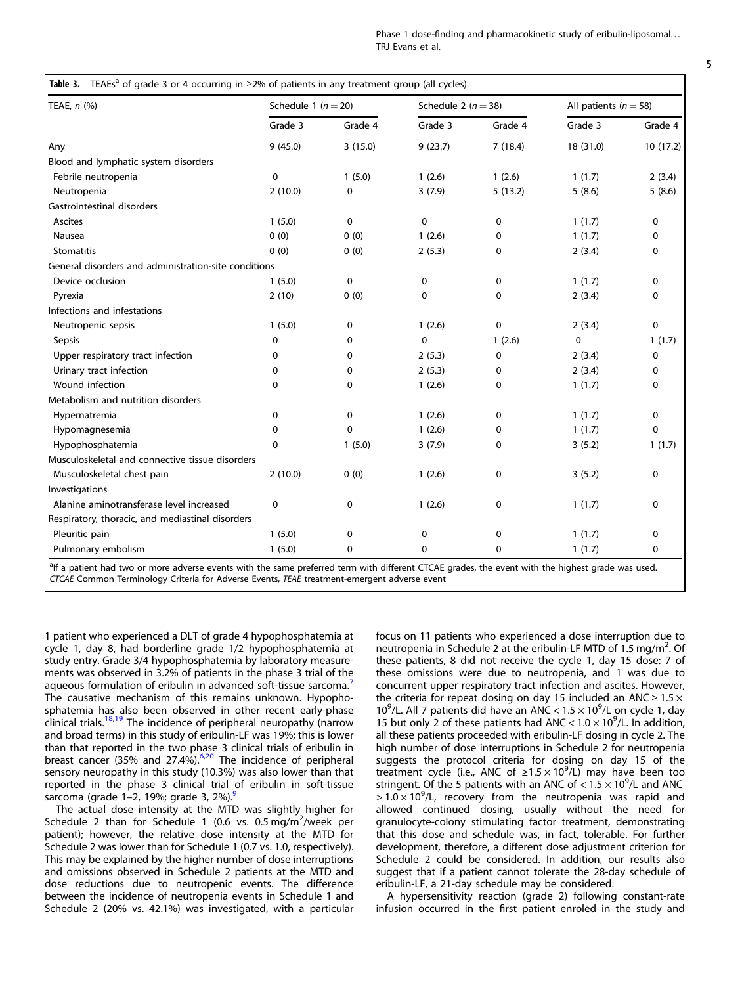| I<br>I<br>۰, |
|--------------|

<span id="page-4-0"></span>

| TEAE, n (%)                                          | Schedule 1 ( $n = 20$ ) |             | Schedule 2 ( $n = 38$ ) |         | All patients ( $n = 58$ ) |             |
|------------------------------------------------------|-------------------------|-------------|-------------------------|---------|---------------------------|-------------|
|                                                      | Grade 3                 | Grade 4     | Grade 3                 | Grade 4 | Grade 3                   | Grade 4     |
| Any                                                  | 9(45.0)                 | 3(15.0)     | 9(23.7)                 | 7(18.4) | 18 (31.0)                 | 10(17.2)    |
| Blood and lymphatic system disorders                 |                         |             |                         |         |                           |             |
| Febrile neutropenia                                  | 0                       | 1(5.0)      | 1(2.6)                  | 1(2.6)  | 1(1.7)                    | 2(3.4)      |
| Neutropenia                                          | 2(10.0)                 | $\mathbf 0$ | 3(7.9)                  | 5(13.2) | 5(8.6)                    | 5(8.6)      |
| Gastrointestinal disorders                           |                         |             |                         |         |                           |             |
| Ascites                                              | 1(5.0)                  | 0           | $\pmb{0}$               | 0       | 1(1.7)                    | 0           |
| Nausea                                               | 0(0)                    | 0(0)        | 1(2.6)                  | 0       | 1(1.7)                    | 0           |
| <b>Stomatitis</b>                                    | 0(0)                    | 0(0)        | 2(5.3)                  | 0       | 2(3.4)                    | $\Omega$    |
| General disorders and administration-site conditions |                         |             |                         |         |                           |             |
| Device occlusion                                     | 1(5.0)                  | 0           | 0                       | 0       | 1(1.7)                    | 0           |
| Pyrexia                                              | 2(10)                   | 0(0)        | 0                       | 0       | 2(3.4)                    | 0           |
| Infections and infestations                          |                         |             |                         |         |                           |             |
| Neutropenic sepsis                                   | 1(5.0)                  | 0           | 1(2.6)                  | 0       | 2(3.4)                    | 0           |
| <b>Sepsis</b>                                        | 0                       | 0           | $\mathbf 0$             | 1(2.6)  | $\mathbf 0$               | 1(1.7)      |
| Upper respiratory tract infection                    | 0                       | 0           | 2(5.3)                  | 0       | 2(3.4)                    | $\mathbf 0$ |
| Urinary tract infection                              | 0                       | 0           | 2(5.3)                  | 0       | 2(3.4)                    | $\Omega$    |
| Wound infection                                      | $\Omega$                | 0           | 1(2.6)                  | 0       | 1(1.7)                    | 0           |
| Metabolism and nutrition disorders                   |                         |             |                         |         |                           |             |
| Hypernatremia                                        | 0                       | 0           | 1(2.6)                  | 0       | 1(1.7)                    | $\mathbf 0$ |
| Hypomagnesemia                                       | 0                       | $\mathbf 0$ | 1(2.6)                  | 0       | 1(1.7)                    | $\mathbf 0$ |
| Hypophosphatemia                                     | 0                       | 1(5.0)      | 3(7.9)                  | 0       | 3(5.2)                    | 1(1.7)      |
| Musculoskeletal and connective tissue disorders      |                         |             |                         |         |                           |             |
| Musculoskeletal chest pain                           | 2(10.0)                 | 0(0)        | 1(2.6)                  | 0       | 3(5.2)                    | $\Omega$    |
| Investigations                                       |                         |             |                         |         |                           |             |
| Alanine aminotransferase level increased             | 0                       | $\mathbf 0$ | 1(2.6)                  | 0       | 1(1.7)                    | 0           |
| Respiratory, thoracic, and mediastinal disorders     |                         |             |                         |         |                           |             |
| Pleuritic pain                                       | 1(5.0)                  | $\mathbf 0$ | 0                       | 0       | 1(1.7)                    | $\mathbf 0$ |
| Pulmonary embolism                                   | 1(5.0)                  | 0           | 0                       | 0       | 1(1.7)                    | 0           |

<sup>a</sup>lf a patient had two or more adverse events with the same preferred term with different CTCAE grades, the event with the highest grade was used. CTCAE Common Terminology Criteria for Adverse Events, TEAE treatment-emergent adverse event

1 patient who experienced a DLT of grade 4 hypophosphatemia at cycle 1, day 8, had borderline grade 1/2 hypophosphatemia at study entry. Grade 3/4 hypophosphatemia by laboratory measurements was observed in 3.2% of patients in the phase 3 trial of the aqueous formulation of eribulin in advanced soft-tissue sarcoma.<sup>[7](#page-7-0)</sup> The causative mechanism of this remains unknown. Hypophosphatemia has also been observed in other recent early-phase clinical trials.<sup>[18,19](#page-7-0)</sup> The incidence of peripheral neuropathy (narrow and broad terms) in this study of eribulin-LF was 19%; this is lower than that reported in the two phase 3 clinical trials of eribulin in breast cancer (35% and 27.4%).<sup>[6,20](#page-7-0)</sup> The incidence of peripheral sensory neuropathy in this study (10.3%) was also lower than that reported in the phase 3 clinical trial of eribulin in soft-tissue sarcoma (grade 1–2, 1[9](#page-7-0)%; grade 3, 2%).

The actual dose intensity at the MTD was slightly higher for Schedule 2 than for Schedule 1 (0.6 vs. 0.5 mg/m<sup>2</sup>/week per patient); however, the relative dose intensity at the MTD for Schedule 2 was lower than for Schedule 1 (0.7 vs. 1.0, respectively). This may be explained by the higher number of dose interruptions and omissions observed in Schedule 2 patients at the MTD and dose reductions due to neutropenic events. The difference between the incidence of neutropenia events in Schedule 1 and Schedule 2 (20% vs. 42.1%) was investigated, with a particular focus on 11 patients who experienced a dose interruption due to neutropenia in Schedule 2 at the eribulin-LF MTD of 1.5 mg/m<sup>2</sup>. Of these patients, 8 did not receive the cycle 1, day 15 dose: 7 of these omissions were due to neutropenia, and 1 was due to concurrent upper respiratory tract infection and ascites. However, the criteria for repeat dosing on day 15 included an ANC  $\geq 1.5 \times$ 10<sup>9</sup>/L. All 7 patients did have an  $ANC < 1.5 \times 10^9$ /L on cycle 1, day 15 but only 2 of these patients had ANC <  $1.0 \times 10^9$ /L. In addition, all these patients proceeded with eribulin-LF dosing in cycle 2. The high number of dose interruptions in Schedule 2 for neutropenia suggests the protocol criteria for dosing on day 15 of the treatment cycle (i.e., ANC of  $\geq 1.5 \times 10^9$ /L) may have been too stringent. Of the 5 patients with an ANC of  $<$  1.5  $\times$  10<sup>9</sup>/L and ANC  $> 1.0 \times 10^9$ /L, recovery from the neutropenia was rapid and allowed continued dosing, usually without the need for granulocyte-colony stimulating factor treatment, demonstrating that this dose and schedule was, in fact, tolerable. For further development, therefore, a different dose adjustment criterion for Schedule 2 could be considered. In addition, our results also suggest that if a patient cannot tolerate the 28-day schedule of eribulin-LF, a 21-day schedule may be considered.

A hypersensitivity reaction (grade 2) following constant-rate infusion occurred in the first patient enroled in the study and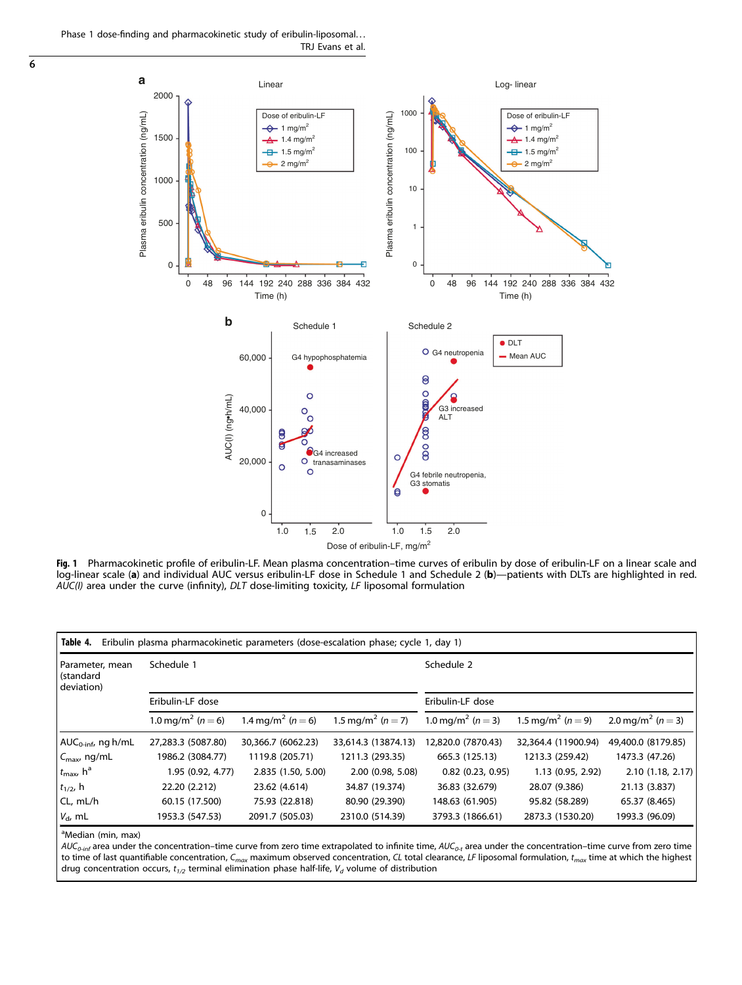Phase 1 dose-finding and pharmacokinetic study of eribulin-liposomal... TRJ Evans et al.

<span id="page-5-0"></span> $\overline{6}$ 



Fig. 1 Pharmacokinetic profile of eribulin-LF. Mean plasma concentration–time curves of eribulin by dose of eribulin-LF on a linear scale and log-linear scale (a) and individual AUC versus eribulin-LF dose in Schedule 1 and Schedule 2 (b)—patients with DLTs are highlighted in red.  $A\overline{U}C(l)$  area under the curve (infinity), DLT dose-limiting toxicity, LF liposomal formulation

| Table 4.<br>Eribulin plasma pharmacokinetic parameters (dose-escalation phase; cycle 1, day 1) |                                   |                                   |                                   |                                   |                                   |                                   |
|------------------------------------------------------------------------------------------------|-----------------------------------|-----------------------------------|-----------------------------------|-----------------------------------|-----------------------------------|-----------------------------------|
| Parameter, mean<br>(standard<br>deviation)                                                     | Schedule 1<br>Eribulin-LF dose    |                                   | Schedule 2                        |                                   |                                   |                                   |
|                                                                                                |                                   |                                   | Eribulin-LF dose                  |                                   |                                   |                                   |
|                                                                                                | 1.0 mg/m <sup>2</sup> ( $n = 6$ ) | 1.4 mg/m <sup>2</sup> ( $n = 6$ ) | 1.5 mg/m <sup>2</sup> ( $n = 7$ ) | 1.0 mg/m <sup>2</sup> ( $n = 3$ ) | 1.5 mg/m <sup>2</sup> ( $n = 9$ ) | 2.0 mg/m <sup>2</sup> ( $n = 3$ ) |
| $AUC_{0\text{-inf}}$ , ng h/mL                                                                 | 27,283.3 (5087.80)                | 30,366.7 (6062.23)                | 33,614.3 (13874.13)               | 12,820.0 (7870.43)                | 32,364.4 (11900.94)               | 49,400.0 (8179.85)                |
| $C_{\text{max}}$ , ng/mL                                                                       | 1986.2 (3084.77)                  | 1119.8 (205.71)                   | 1211.3 (293.35)                   | 665.3 (125.13)                    | 1213.3 (259.42)                   | 1473.3 (47.26)                    |
| $t_{\rm max}$ , $h^a$                                                                          | 1.95 (0.92, 4.77)                 | 2.835 (1.50, 5.00)                | 2.00 (0.98, 5.08)                 | $0.82$ (0.23, 0.95)               | 1.13 (0.95, 2.92)                 | 2.10(1.18, 2.17)                  |
| $t_{1/2}$ , h                                                                                  | 22.20 (2.212)                     | 23.62 (4.614)                     | 34.87 (19.374)                    | 36.83 (32.679)                    | 28.07 (9.386)                     | 21.13 (3.837)                     |
| CL, mL/h                                                                                       | 60.15 (17.500)                    | 75.93 (22.818)                    | 80.90 (29.390)                    | 148.63 (61.905)                   | 95.82 (58.289)                    | 65.37 (8.465)                     |
| $V_{\rm d}$ , mL                                                                               | 1953.3 (547.53)                   | 2091.7 (505.03)                   | 2310.0 (514.39)                   | 3793.3 (1866.61)                  | 2873.3 (1530.20)                  | 1993.3 (96.09)                    |

<sup>a</sup>Median (min, max)

 $AUC_{0-int}$  area under the concentration–time curve from zero time extrapolated to infinite time,  $AUC_{0-t}$  area under the concentration–time curve from zero time to time of last quantifiable concentration,  $C_{max}$  maximum observed concentration, CL total clearance, LF liposomal formulation,  $t_{max}$  time at which the highest drug concentration occurs,  $t_{1/2}$  terminal elimination phase half-life,  $V_d$  volume of distribution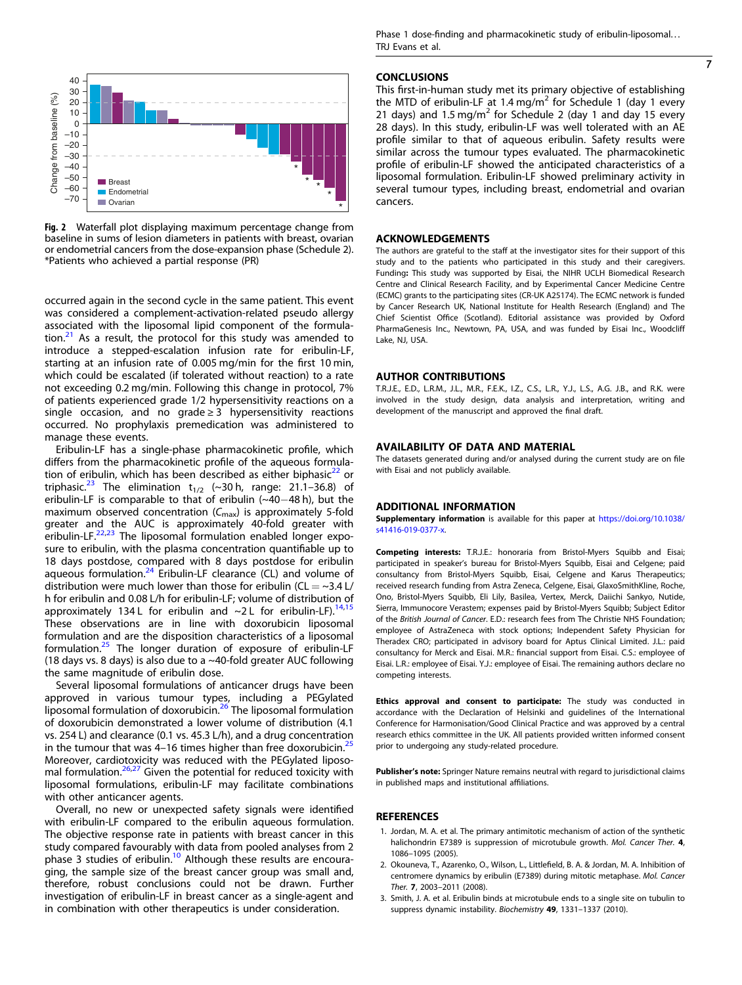<span id="page-6-0"></span>

Fig. 2 Waterfall plot displaying maximum percentage change from baseline in sums of lesion diameters in patients with breast, ovarian or endometrial cancers from the dose-expansion phase (Schedule 2). \*Patients who achieved a partial response (PR)

occurred again in the second cycle in the same patient. This event was considered a complement-activation-related pseudo allergy associated with the liposomal lipid component of the formulation. $21$  As a result, the protocol for this study was amended to introduce a stepped-escalation infusion rate for eribulin-LF, starting at an infusion rate of 0.005 mg/min for the first 10 min, which could be escalated (if tolerated without reaction) to a rate not exceeding 0.2 mg/min. Following this change in protocol, 7% of patients experienced grade 1/2 hypersensitivity reactions on a single occasion, and no grade  $\geq$  3 hypersensitivity reactions occurred. No prophylaxis premedication was administered to manage these events.

Eribulin-LF has a single-phase pharmacokinetic profile, which differs from the pharmacokinetic profile of the aqueous formulation of eribulin, which has been described as either biphasic $^{22}$  $^{22}$  $^{22}$  or triphasic.<sup>[23](#page-7-0)</sup> The elimination  $t_{1/2}$  (~30 h, range: 21.1–36.8) of eribulin-LF is comparable to that of eribulin (~40−48 h), but the maximum observed concentration  $(C_{\text{max}})$  is approximately 5-fold greater and the AUC is approximately 40-fold greater with eribulin-LF.<sup>22,23</sup> The liposomal formulation enabled longer exposure to eribulin, with the plasma concentration quantifiable up to 18 days postdose, compared with 8 days postdose for eribulin aqueous formulation. $24$  Eribulin-LF clearance (CL) and volume of distribution were much lower than those for eribulin ( $CL = ~3.4$  L/ h for eribulin and 0.08 L/h for eribulin-LF; volume of distribution of approximately 134 L for eribulin and  $\sim$ 2 L for eribulin-LF).<sup>[14,15](#page-7-0)</sup> These observations are in line with doxorubicin liposomal formulation and are the disposition characteristics of a liposomal formulation.[25](#page-7-0) The longer duration of exposure of eribulin-LF (18 days vs. 8 days) is also due to a ~40-fold greater AUC following the same magnitude of eribulin dose.

Several liposomal formulations of anticancer drugs have been approved in various tumour types, including a PEGylated liposomal formulation of doxorubicin.<sup>[26](#page-7-0)</sup> The liposomal formulation of doxorubicin demonstrated a lower volume of distribution (4.1 vs. 254 L) and clearance (0.1 vs. 45.3 L/h), and a drug concentration in the tumour that was 4–16 times higher than free doxorubicin.<sup>[25](#page-7-0)</sup> Moreover, cardiotoxicity was reduced with the PEGylated liposo-mal formulation.<sup>[26,27](#page-7-0)</sup> Given the potential for reduced toxicity with liposomal formulations, eribulin-LF may facilitate combinations with other anticancer agents.

Overall, no new or unexpected safety signals were identified with eribulin-LF compared to the eribulin aqueous formulation. The objective response rate in patients with breast cancer in this study compared favourably with data from pooled analyses from 2 phase 3 studies of eribulin[.10](#page-7-0) Although these results are encouraging, the sample size of the breast cancer group was small and, therefore, robust conclusions could not be drawn. Further investigation of eribulin-LF in breast cancer as a single-agent and in combination with other therapeutics is under consideration.

Phase 1 dose-finding and pharmacokinetic study of eribulin-liposomal... TRJ Evans et al.

7

#### **CONCLUSIONS**

This first-in-human study met its primary objective of establishing the MTD of eribulin-LF at 1.4 mg/m<sup>2</sup> for Schedule 1 (day 1 every 21 days) and 1.5 mg/m<sup>2</sup> for Schedule 2 (day 1 and day 15 every 28 days). In this study, eribulin-LF was well tolerated with an AE profile similar to that of aqueous eribulin. Safety results were similar across the tumour types evaluated. The pharmacokinetic profile of eribulin-LF showed the anticipated characteristics of a liposomal formulation. Eribulin-LF showed preliminary activity in several tumour types, including breast, endometrial and ovarian cancers.

#### ACKNOWLEDGEMENTS

The authors are grateful to the staff at the investigator sites for their support of this study and to the patients who participated in this study and their caregivers. Funding: This study was supported by Eisai, the NIHR UCLH Biomedical Research Centre and Clinical Research Facility, and by Experimental Cancer Medicine Centre (ECMC) grants to the participating sites (CR-UK A25174). The ECMC network is funded by Cancer Research UK, National Institute for Health Research (England) and The Chief Scientist Office (Scotland). Editorial assistance was provided by Oxford PharmaGenesis Inc., Newtown, PA, USA, and was funded by Eisai Inc., Woodcliff Lake, NJ, USA.

#### AUTHOR CONTRIBUTIONS

T.R.J.E., E.D., L.R.M., J.L., M.R., F.E.K., I.Z., C.S., L.R., Y.J., L.S., A.G. J.B., and R.K. were involved in the study design, data analysis and interpretation, writing and development of the manuscript and approved the final draft.

# AVAILABILITY OF DATA AND MATERIAL

The datasets generated during and/or analysed during the current study are on file with Eisai and not publicly available.

#### ADDITIONAL INFORMATION

Supplementary information is available for this paper at [https://doi.org/10.1038/](https://doi.org/10.1038/s41416-019-0377-x) [s41416-019-0377-x.](https://doi.org/10.1038/s41416-019-0377-x)

Competing interests: T.R.J.E.: honoraria from Bristol-Myers Squibb and Eisai; participated in speaker's bureau for Bristol-Myers Squibb, Eisai and Celgene; paid consultancy from Bristol-Myers Squibb, Eisai, Celgene and Karus Therapeutics; received research funding from Astra Zeneca, Celgene, Eisai, GlaxoSmithKline, Roche, Ono, Bristol-Myers Squibb, Eli Lily, Basilea, Vertex, Merck, Daiichi Sankyo, Nutide, Sierra, Immunocore Verastem; expenses paid by Bristol-Myers Squibb; Subject Editor of the British Journal of Cancer. E.D.: research fees from The Christie NHS Foundation; employee of AstraZeneca with stock options; Independent Safety Physician for Theradex CRO; participated in advisory board for Aptus Clinical Limited. J.L.: paid consultancy for Merck and Eisai. M.R.: financial support from Eisai. C.S.: employee of Eisai. L.R.: employee of Eisai. Y.J.: employee of Eisai. The remaining authors declare no competing interests.

Ethics approval and consent to participate: The study was conducted in accordance with the Declaration of Helsinki and guidelines of the International Conference for Harmonisation/Good Clinical Practice and was approved by a central research ethics committee in the UK. All patients provided written informed consent prior to undergoing any study-related procedure.

Publisher's note: Springer Nature remains neutral with regard to jurisdictional claims in published maps and institutional affiliations.

### REFERENCES

- 1. Jordan, M. A. et al. The primary antimitotic mechanism of action of the synthetic halichondrin E7389 is suppression of microtubule growth. Mol. Cancer Ther. 4, 1086–1095 (2005).
- 2. Okouneva, T., Azarenko, O., Wilson, L., Littlefield, B. A. & Jordan, M. A. Inhibition of centromere dynamics by eribulin (E7389) during mitotic metaphase. Mol. Cancer Ther. 7, 2003–2011 (2008).
- 3. Smith, J. A. et al. Eribulin binds at microtubule ends to a single site on tubulin to suppress dynamic instability. Biochemistry 49, 1331–1337 (2010).